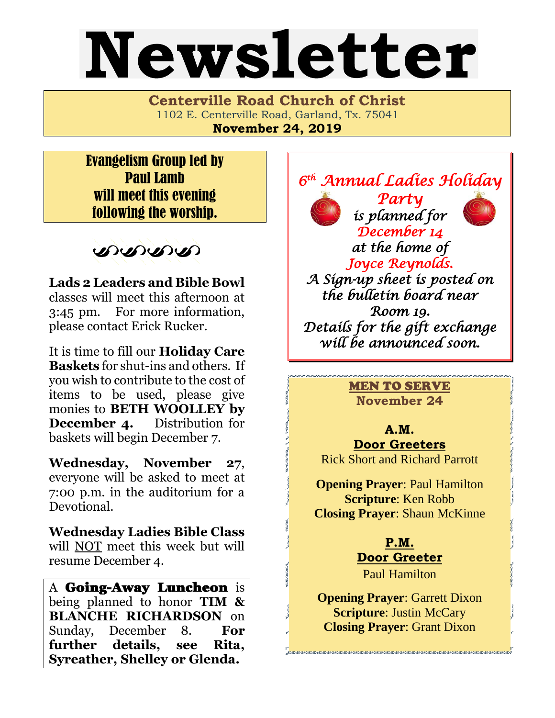# Newsletter

**Centerville Road Church of Christ**  1102 E. Centerville Road, Garland, Tx. 75041 **November 24, 2019**

Evangelism Group led by Paul Lamb will meet this evening following the worship.

DISPOSIT

**Lads 2 Leaders and Bible Bowl** classes will meet this afternoon at 3:45 pm. For more information, please contact Erick Rucker.

It is time to fill our **Holiday Care Baskets** for shut-ins and others. If you wish to contribute to the cost of items to be used, please give monies to **BETH WOOLLEY by December 4.** Distribution for baskets will begin December 7.

**Wednesday, November 27**, everyone will be asked to meet at 7:00 p.m. in the auditorium for a Devotional.

**Wednesday Ladies Bible Class** will NOT meet this week but will resume December 4.

A Going-Away Luncheon is being planned to honor **TIM & BLANCHE RICHARDSON** on Sunday, December 8. **For further details, see Rita, Syreather, Shelley or Glenda.** 





*is planned for* 

*at the home of Joyce Reynolds.* 

*December 14* 

*A Sign-up sheet is posted on the bulletin board near Room 19. Details for the gift exchange will be announced soon.* 

> MEN TO SERVE **November 24**

**A.M. Door Greeters** Rick Short and Richard Parrott

**Opening Prayer**: Paul Hamilton **Scripture**: Ken Robb **Closing Prayer**: Shaun McKinne

> **P.M. Door Greeter**

Paul Hamilton

**Opening Prayer: Garrett Dixon Scripture**: Justin McCary **Closing Prayer**: Grant Dixon

.<br>The came child child child child child child child child child child child child child child child child child child child child child child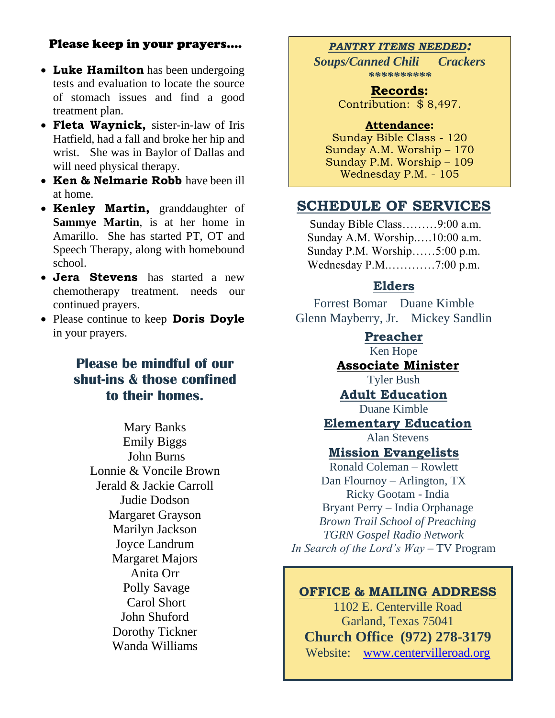### Please keep in your prayers….

- **Luke Hamilton** has been undergoing tests and evaluation to locate the source of stomach issues and find a good treatment plan.
- **Fleta Waynick,** sister-in-law of Iris Hatfield, had a fall and broke her hip and wrist. She was in Baylor of Dallas and will need physical therapy.
- **Ken & Nelmarie Robb** have been ill at home.
- **Kenley Martin,** granddaughter of **Sammye Martin**, is at her home in Amarillo. She has started PT, OT and Speech Therapy, along with homebound school.
- **Jera Stevens** has started a new chemotherapy treatment. needs our continued prayers.
- Please continue to keep **Doris Doyle**  in your prayers.

## **Please be mindful of our shut-ins & those confined to their homes.**

Mary Banks Emily Biggs John Burns Lonnie & Voncile Brown Jerald & Jackie Carroll Judie Dodson Margaret Grayson Marilyn Jackson Joyce Landrum Margaret Majors Anita Orr Polly Savage Carol Short John Shuford Dorothy Tickner Wanda Williams

#### *PANTRY ITEMS NEEDED:*

*Soups/Canned Chili Crackers \*\*\*\*\*\*\*\*\*\**

> **Records:** Contribution: \$ 8,497.

#### **Attendance:**

Sunday Bible Class - 120 Sunday A.M. Worship – 170 Sunday P.M. Worship – 109 Wednesday P.M. - 105

### **SCHEDULE OF SERVICES**

 Sunday Bible Class………9:00 a.m. Sunday A.M. Worship.….10:00 a.m. Sunday P.M. Worship……5:00 p.m. Wednesday P.M.…………7:00 p.m.

## **Elders**

Forrest Bomar Duane Kimble Glenn Mayberry, Jr. Mickey Sandlin

#### **Preacher**

Ken Hope

# **Associate Minister**

Tyler Bush

# **Adult Education**

Duane Kimble

# **Elementary Education**

Alan Stevens

#### **Mission Evangelists**

Ronald Coleman – Rowlett Dan Flournoy – Arlington, TX Ricky Gootam - India Bryant Perry – India Orphanage *Brown Trail School of Preaching TGRN Gospel Radio Network In Search of the Lord's Way* – TV Program

#### **OFFICE & MAILING ADDRESS**

1102 E. Centerville Road Garland, Texas 75041 **Church Office (972) 278-3179** Website: [www.centervilleroad.org](http://www.centervilleroad.org/)